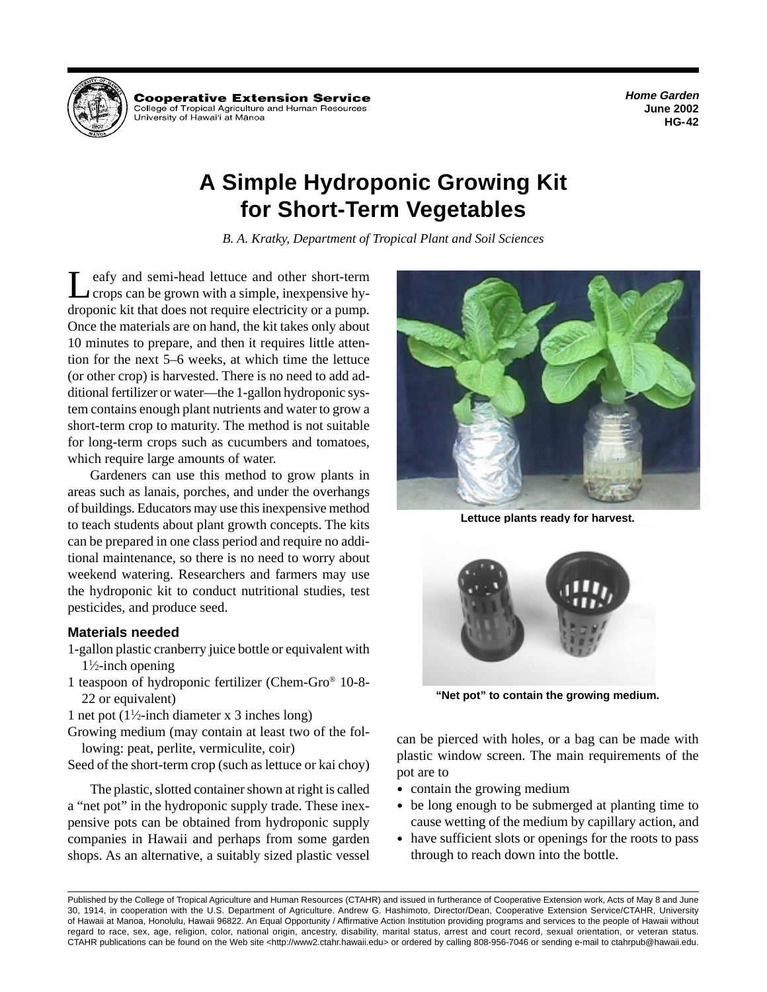**Home Garden June 2002 HG-42** 



Cooperative Extension Service College of Tropical Agriculture and Human Resources University of Hawai'i at Mānoa

## **A Simple Hydroponic Growing Kit for Short-Term Vegetables**

*B. A. Kratky, Department of Tropical Plant and Soil Sciences* 

Leafy and semi-head lettuce and other short-term<br>crops can be grown with a simple, inexpensive hydroponic kit that does not require electricity or a pump. Once the materials are on hand, the kit takes only about 10 minutes to prepare, and then it requires little attention for the next 5–6 weeks, at which time the lettuce (or other crop) is harvested. There is no need to add additional fertilizer or water—the 1-gallon hydroponic system contains enough plant nutrients and water to grow a short-term crop to maturity. The method is not suitable for long-term crops such as cucumbers and tomatoes, which require large amounts of water.

Gardeners can use this method to grow plants in areas such as lanais, porches, and under the overhangs of buildings. Educators may use this inexpensive method to teach students about plant growth concepts. The kits can be prepared in one class period and require no additional maintenance, so there is no need to worry about weekend watering. Researchers and farmers may use the hydroponic kit to conduct nutritional studies, test pesticides, and produce seed.

## **Materials needed**

- 1-gallon plastic cranberry juice bottle or equivalent with 11 ⁄2-inch opening
- 1 teaspoon of hydroponic fertilizer (Chem-Gro® 10-8 22 or equivalent)
- 1 net pot  $(1\frac{1}{2}$ -inch diameter x 3 inches long)
- Growing medium (may contain at least two of the following: peat, perlite, vermiculite, coir)
- Seed of the short-term crop (such as lettuce or kai choy)

The plastic, slotted container shown at right is called a "net pot" in the hydroponic supply trade. These inexpensive pots can be obtained from hydroponic supply companies in Hawaii and perhaps from some garden shops. As an alternative, a suitably sized plastic vessel



**Lettuce plants ready for harvest.** 



**"Net pot" to contain the growing medium.** 

can be pierced with holes, or a bag can be made with plastic window screen. The main requirements of the pot are to

- contain the growing medium
- be long enough to be submerged at planting time to cause wetting of the medium by capillary action, and
- have sufficient slots or openings for the roots to pass through to reach down into the bottle.

Published by the College of Tropical Agriculture and Human Resources (CTAHR) and issued in furtherance of Cooperative Extension work, Acts of May 8 and June 30, 1914, in cooperation with the U.S. Department of Agriculture. Andrew G. Hashimoto, Director/Dean, Cooperative Extension Service/CTAHR, University of Hawaii at Manoa, Honolulu, Hawaii 96822. An Equal Opportunity / Affirmative Action Institution providing programs and services to the people of Hawaii without regard to race, sex, age, religion, color, national origin, ancestry, disability, marital status, arrest and court record, sexual orientation, or veteran status. CTAHR publications can be found on the Web site <http://www2.ctahr.hawaii.edu> or ordered by calling 808-956-7046 or sending e-mail to ctahrpub@hawaii.edu.